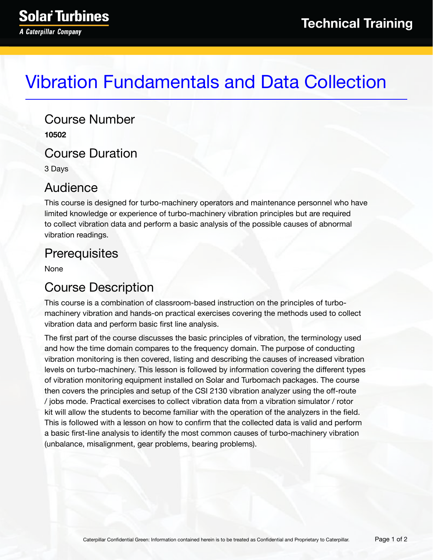# Vibration Fundamentals and Data Collection

Course Number **10502**

Course Duration

3 Days

### Audience

This course is designed for turbo-machinery operators and maintenance personnel who have limited knowledge or experience of turbo-machinery vibration principles but are required to collect vibration data and perform a basic analysis of the possible causes of abnormal vibration readings.

# **Prerequisites**

None

# Course Description

This course is a combination of classroom-based instruction on the principles of turbomachinery vibration and hands-on practical exercises covering the methods used to collect vibration data and perform basic first line analysis.

The first part of the course discusses the basic principles of vibration, the terminology used and how the time domain compares to the frequency domain. The purpose of conducting vibration monitoring is then covered, listing and describing the causes of increased vibration levels on turbo-machinery. This lesson is followed by information covering the different types of vibration monitoring equipment installed on Solar and Turbomach packages. The course then covers the principles and setup of the CSI 2130 vibration analyzer using the off-route / jobs mode. Practical exercises to collect vibration data from a vibration simulator / rotor kit will allow the students to become familiar with the operation of the analyzers in the field. This is followed with a lesson on how to confirm that the collected data is valid and perform a basic first-line analysis to identify the most common causes of turbo-machinery vibration (unbalance, misalignment, gear problems, bearing problems).